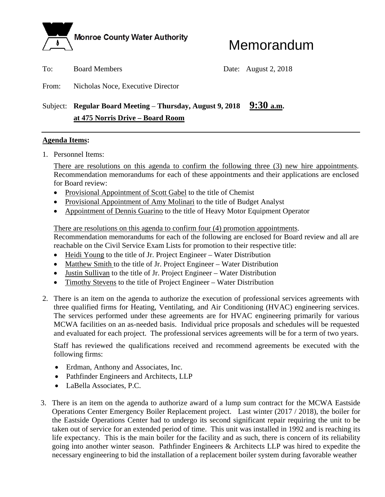

## Memorandum

To: Board Members Date: August 2, 2018

From: Nicholas Noce, Executive Director

## Subject: **Regular Board Meeting – Thursday, August 9, 2018** 9:30 a.m.  **at 475 Norris Drive – Board Room**

## **Agenda Items:**

1. Personnel Items:

There are resolutions on this agenda to confirm the following three (3) new hire appointments. Recommendation memorandums for each of these appointments and their applications are enclosed for Board review:

- Provisional Appointment of Scott Gabel to the title of Chemist
- Provisional Appointment of Amy Molinari to the title of Budget Analyst
- Appointment of Dennis Guarino to the title of Heavy Motor Equipment Operator

There are resolutions on this agenda to confirm four (4) promotion appointments. Recommendation memorandums for each of the following are enclosed for Board review and all are

reachable on the Civil Service Exam Lists for promotion to their respective title:

- Heidi Young to the title of Jr. Project Engineer Water Distribution
- Matthew Smith to the title of Jr. Project Engineer Water Distribution
- Justin Sullivan to the title of Jr. Project Engineer Water Distribution
- Timothy Stevens to the title of Project Engineer Water Distribution
- 2. There is an item on the agenda to authorize the execution of professional services agreements with three qualified firms for Heating, Ventilating, and Air Conditioning (HVAC) engineering services. The services performed under these agreements are for HVAC engineering primarily for various MCWA facilities on an as-needed basis. Individual price proposals and schedules will be requested and evaluated for each project. The professional services agreements will be for a term of two years.

Staff has reviewed the qualifications received and recommend agreements be executed with the following firms:

- Erdman, Anthony and Associates, Inc.
- Pathfinder Engineers and Architects, LLP
- LaBella Associates, P.C.
- 3. There is an item on the agenda to authorize award of a lump sum contract for the MCWA Eastside Operations Center Emergency Boiler Replacement project. Last winter (2017 / 2018), the boiler for the Eastside Operations Center had to undergo its second significant repair requiring the unit to be taken out of service for an extended period of time. This unit was installed in 1992 and is reaching its life expectancy. This is the main boiler for the facility and as such, there is concern of its reliability going into another winter season. Pathfinder Engineers & Architects LLP was hired to expedite the necessary engineering to bid the installation of a replacement boiler system during favorable weather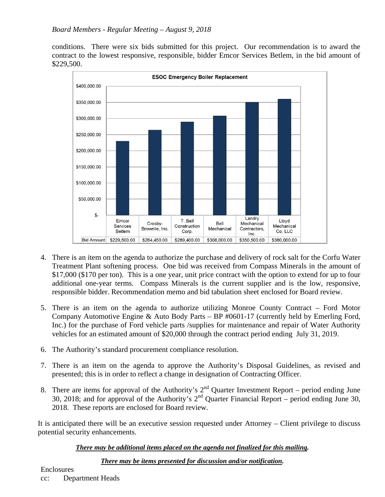conditions. There were six bids submitted for this project. Our recommendation is to award the contract to the lowest responsive, responsible, bidder Emcor Services Betlem, in the bid amount of \$229,500.



- 4. There is an item on the agenda to authorize the purchase and delivery of rock salt for the Corfu Water Treatment Plant softening process. One bid was received from Compass Minerals in the amount of \$17,000 (\$170 per ton). This is a one year, unit price contract with the option to extend for up to four additional one-year terms. Compass Minerals is the current supplier and is the low, responsive, responsible bidder. Recommendation memo and bid tabulation sheet enclosed for Board review.
- 5. There is an item on the agenda to authorize utilizing Monroe County Contract Ford Motor Company Automotive Engine & Auto Body Parts – BP #0601-17 (currently held by Emerling Ford, Inc.) for the purchase of Ford vehicle parts /supplies for maintenance and repair of Water Authority vehicles for an estimated amount of \$20,000 through the contract period ending July 31, 2019.
- 6. The Authority's standard procurement compliance resolution.
- 7. There is an item on the agenda to approve the Authority's Disposal Guidelines, as revised and presented; this is in order to reflect a change in designation of Contracting Officer.
- 8. There are items for approval of the Authority's  $2<sup>nd</sup>$  Quarter Investment Report period ending June 30, 2018; and for approval of the Authority's  $2<sup>nd</sup>$  Quarter Financial Report – period ending June 30, 2018. These reports are enclosed for Board review.

It is anticipated there will be an executive session requested under Attorney – Client privilege to discuss potential security enhancements.

## *There may be additional items placed on the agenda not finalized for this mailing.*

### *There may be items presented for discussion and/or notification.*

Enclosures

cc: Department Heads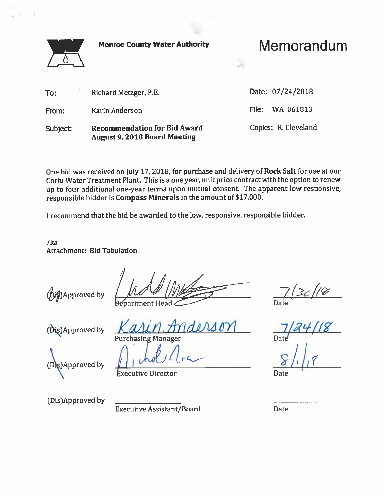**Monroe County Water Authority** 



Memorandum

 $\mathcal{L}(\cdot)$ 

| To:      | Richard Metzger, P.E.                                                      | Date: 07/24/2018     |
|----------|----------------------------------------------------------------------------|----------------------|
| From:    | Karin Anderson                                                             | File: WA 061813      |
| Subject: | <b>Recommendation for Bid Award</b><br><b>August 9, 2018 Board Meeting</b> | Copies: R. Cleveland |

One bid was received on July 17, 2018, for purchase and delivery of Rock Salt for use at our Corfu Water Treatment Plant. This is a one year, unit price contract with the option to renew up to four additional one-year terms upon mutual consent. The apparent low responsive, responsible bidder is Compass Minerals in the amount of \$17,000.

I recommend that the bid be awarded to the low, responsive, responsible bidder.

 $/ka$ **Attachment: Bid Tabulation** 

**幻**Approved by

(Dis)Approved by

**Purchasing Manager** 

 $(D<sub>k</sub>)$ Approved by

**Executive Director** 

 $\frac{7}{2c}$ /2<br>Date<br>7/24/18

Date

(Dis)Approved by

**Executive Assistant/Board** 

Date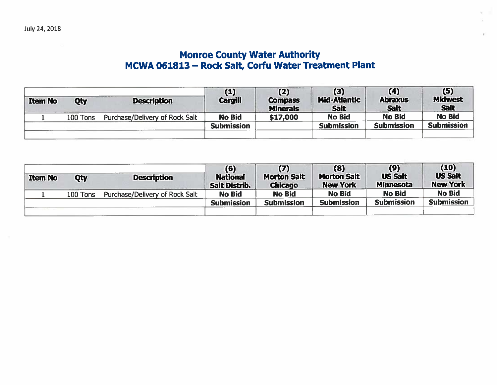# Monroe County Water Authority<br>MCWA 061813 – Rock Salt, Corfu Water Treatment Plant

| <b>Item No</b> | Qty      | <b>Description</b>             | (1)<br>Cargill    | (2)<br><b>Compass</b><br><b>Minerals</b> | (3)<br><b>Mid-Atlantic</b><br><b>Salt</b> | (4)<br><b>Abraxus</b><br><b>Salt</b> | (5)<br><b>Midwest</b><br><b>Salt</b> |
|----------------|----------|--------------------------------|-------------------|------------------------------------------|-------------------------------------------|--------------------------------------|--------------------------------------|
|                | 100 Tons | Purchase/Delivery of Rock Salt | <b>No Bid</b>     | \$17,000                                 | <b>No Bid</b>                             | <b>No Bid</b>                        | <b>No Bid</b>                        |
|                |          |                                | <b>Submission</b> |                                          | <b>Submission</b>                         | <b>Submission</b>                    | <b>Submission</b>                    |
|                |          |                                |                   |                                          |                                           |                                      |                                      |

| <b>Item No</b> | Qty      | <b>Description</b>             | (6)<br><b>National</b><br>Salt Distrib. | (7)<br><b>Morton Salt</b><br><b>Chicago</b> | (8)<br><b>Morton Salt</b><br><b>New York</b> | (9)<br><b>US Salt</b><br><b>Minnesota</b> | (10)<br><b>US Salt</b><br><b>New York</b> |
|----------------|----------|--------------------------------|-----------------------------------------|---------------------------------------------|----------------------------------------------|-------------------------------------------|-------------------------------------------|
|                | 100 Tons | Purchase/Delivery of Rock Salt | <b>No Bid</b>                           | <b>No Bid</b>                               | <b>No Bid</b>                                | <b>No Bid</b>                             | <b>No Bid</b>                             |
|                |          |                                | <b>Submission</b>                       | <b>Submission</b>                           | <b>Submission</b>                            | <b>Submission</b>                         | <b>Submission</b>                         |
|                |          |                                |                                         |                                             |                                              |                                           |                                           |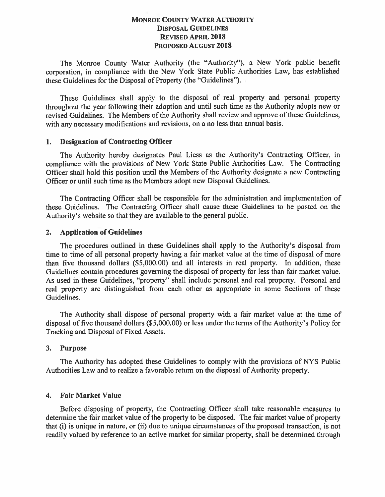## **MONROE COUNTY WATER AUTHORITY DISPOSAL GUIDELINES REVISED APRIL 2018 PROPOSED AUGUST 2018**

The Monroe County Water Authority (the "Authority"), a New York public benefit corporation, in compliance with the New York State Public Authorities Law, has established these Guidelines for the Disposal of Property (the "Guidelines").

These Guidelines shall apply to the disposal of real property and personal property throughout the year following their adoption and until such time as the Authority adopts new or revised Guidelines. The Members of the Authority shall review and approve of these Guidelines, with any necessary modifications and revisions, on a no less than annual basis.

#### **Designation of Contracting Officer**  $1.$

The Authority hereby designates Paul Liess as the Authority's Contracting Officer, in compliance with the provisions of New York State Public Authorities Law. The Contracting Officer shall hold this position until the Members of the Authority designate a new Contracting Officer or until such time as the Members adopt new Disposal Guidelines.

The Contracting Officer shall be responsible for the administration and implementation of these Guidelines. The Contracting Officer shall cause these Guidelines to be posted on the Authority's website so that they are available to the general public.

## 2. Application of Guidelines

The procedures outlined in these Guidelines shall apply to the Authority's disposal from time to time of all personal property having a fair market value at the time of disposal of more than five thousand dollars (\$5,000.00) and all interests in real property. In addition, these Guidelines contain procedures governing the disposal of property for less than fair market value. As used in these Guidelines, "property" shall include personal and real property. Personal and real property are distinguished from each other as appropriate in some Sections of these Guidelines.

The Authority shall dispose of personal property with a fair market value at the time of disposal of five thousand dollars (\$5,000.00) or less under the terms of the Authority's Policy for Tracking and Disposal of Fixed Assets.

#### $3.$ **Purpose**

The Authority has adopted these Guidelines to comply with the provisions of NYS Public Authorities Law and to realize a favorable return on the disposal of Authority property.

#### **Fair Market Value**  $4.$

Before disposing of property, the Contracting Officer shall take reasonable measures to determine the fair market value of the property to be disposed. The fair market value of property that (i) is unique in nature, or (ii) due to unique circumstances of the proposed transaction, is not readily valued by reference to an active market for similar property, shall be determined through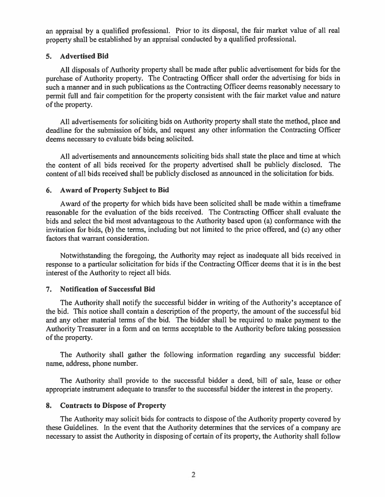an appraisal by a qualified professional. Prior to its disposal, the fair market value of all real property shall be established by an appraisal conducted by a qualified professional.

#### **Advertised Bid**  $5.$

All disposals of Authority property shall be made after public advertisement for bids for the purchase of Authority property. The Contracting Officer shall order the advertising for bids in such a manner and in such publications as the Contracting Officer deems reasonably necessary to permit full and fair competition for the property consistent with the fair market value and nature of the property.

All advertisements for soliciting bids on Authority property shall state the method, place and deadline for the submission of bids, and request any other information the Contracting Officer deems necessary to evaluate bids being solicited.

All advertisements and announcements soliciting bids shall state the place and time at which the content of all bids received for the property advertised shall be publicly disclosed. The content of all bids received shall be publicly disclosed as announced in the solicitation for bids.

## 6. Award of Property Subject to Bid

Award of the property for which bids have been solicited shall be made within a timeframe reasonable for the evaluation of the bids received. The Contracting Officer shall evaluate the bids and select the bid most advantageous to the Authority based upon (a) conformance with the invitation for bids, (b) the terms, including but not limited to the price offered, and (c) any other factors that warrant consideration.

Notwithstanding the foregoing, the Authority may reject as inadequate all bids received in response to a particular solicitation for bids if the Contracting Officer deems that it is in the best interest of the Authority to reject all bids.

#### **Notification of Successful Bid**  $7.$

The Authority shall notify the successful bidder in writing of the Authority's acceptance of the bid. This notice shall contain a description of the property, the amount of the successful bid and any other material terms of the bid. The bidder shall be required to make payment to the Authority Treasurer in a form and on terms acceptable to the Authority before taking possession of the property.

The Authority shall gather the following information regarding any successful bidder: name, address, phone number.

The Authority shall provide to the successful bidder a deed, bill of sale, lease or other appropriate instrument adequate to transfer to the successful bidder the interest in the property.

## 8. Contracts to Dispose of Property

The Authority may solicit bids for contracts to dispose of the Authority property covered by these Guidelines. In the event that the Authority determines that the services of a company are necessary to assist the Authority in disposing of certain of its property, the Authority shall follow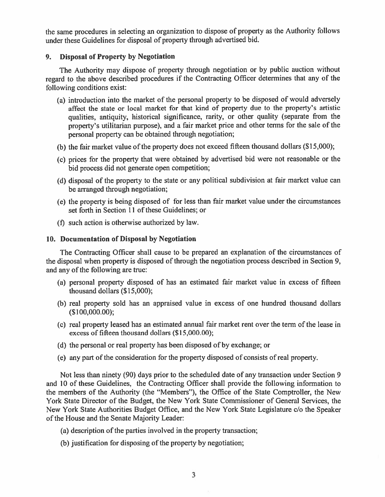the same procedures in selecting an organization to dispose of property as the Authority follows under these Guidelines for disposal of property through advertised bid.

#### 9. **Disposal of Property by Negotiation**

The Authority may dispose of property through negotiation or by public auction without regard to the above described procedures if the Contracting Officer determines that any of the following conditions exist:

- (a) introduction into the market of the personal property to be disposed of would adversely affect the state or local market for that kind of property due to the property's artistic qualities, antiquity, historical significance, rarity, or other quality (separate from the property's utilitarian purpose), and a fair market price and other terms for the sale of the personal property can be obtained through negotiation;
- (b) the fair market value of the property does not exceed fifteen thousand dollars (\$15,000);
- (c) prices for the property that were obtained by advertised bid were not reasonable or the bid process did not generate open competition;
- (d) disposal of the property to the state or any political subdivision at fair market value can be arranged through negotiation;
- (e) the property is being disposed of for less than fair market value under the circumstances set forth in Section 11 of these Guidelines; or
- (f) such action is otherwise authorized by law.

## 10. Documentation of Disposal by Negotiation

The Contracting Officer shall cause to be prepared an explanation of the circumstances of the disposal when property is disposed of through the negotiation process described in Section 9, and any of the following are true:

- (a) personal property disposed of has an estimated fair market value in excess of fifteen thousand dollars (\$15,000);
- (b) real property sold has an appraised value in excess of one hundred thousand dollars  $($100,000.00);$
- (c) real property leased has an estimated annual fair market rent over the term of the lease in excess of fifteen thousand dollars (\$15,000.00);
- (d) the personal or real property has been disposed of by exchange; or
- (e) any part of the consideration for the property disposed of consists of real property.

Not less than ninety (90) days prior to the scheduled date of any transaction under Section 9 and 10 of these Guidelines, the Contracting Officer shall provide the following information to the members of the Authority (the "Members"), the Office of the State Comptroller, the New York State Director of the Budget, the New York State Commissioner of General Services, the New York State Authorities Budget Office, and the New York State Legislature c/o the Speaker of the House and the Senate Majority Leader:

- (a) description of the parties involved in the property transaction;
- (b) justification for disposing of the property by negotiation;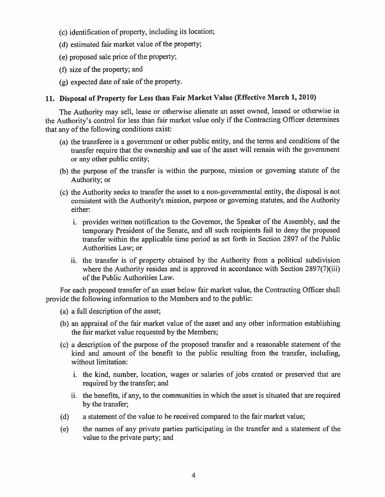- (c) identification of property, including its location;
- (d) estimated fair market value of the property;
- (e) proposed sale price of the property;
- (f) size of the property; and
- (g) expected date of sale of the property.

## 11. Disposal of Property for Less than Fair Market Value (Effective March 1, 2010)

The Authority may sell, lease or otherwise alienate an asset owned, leased or otherwise in the Authority's control for less than fair market value only if the Contracting Officer determines that any of the following conditions exist:

- (a) the transferee is a government or other public entity, and the terms and conditions of the transfer require that the ownership and use of the asset will remain with the government or any other public entity;
- (b) the purpose of the transfer is within the purpose, mission or governing statute of the Authority; or
- (c) the Authority seeks to transfer the asset to a non-governmental entity, the disposal is not consistent with the Authority's mission, purpose or governing statutes, and the Authority either:
	- i. provides written notification to the Governor, the Speaker of the Assembly, and the temporary President of the Senate, and all such recipients fail to deny the proposed transfer within the applicable time period as set forth in Section 2897 of the Public Authorities Law; or
	- ii. the transfer is of property obtained by the Authority from a political subdivision where the Authority resides and is approved in accordance with Section 2897(7)(iii) of the Public Authorities Law.

For each proposed transfer of an asset below fair market value, the Contracting Officer shall provide the following information to the Members and to the public:

- (a) a full description of the asset;
- (b) an appraisal of the fair market value of the asset and any other information establishing the fair market value requested by the Members;
- (c) a description of the purpose of the proposed transfer and a reasonable statement of the kind and amount of the benefit to the public resulting from the transfer, including, without limitation:
	- i. the kind, number, location, wages or salaries of jobs created or preserved that are required by the transfer; and
	- ii. the benefits, if any, to the communities in which the asset is situated that are required by the transfer;
- $(d)$ a statement of the value to be received compared to the fair market value;
- the names of any private parties participating in the transfer and a statement of the  $(e)$ value to the private party; and